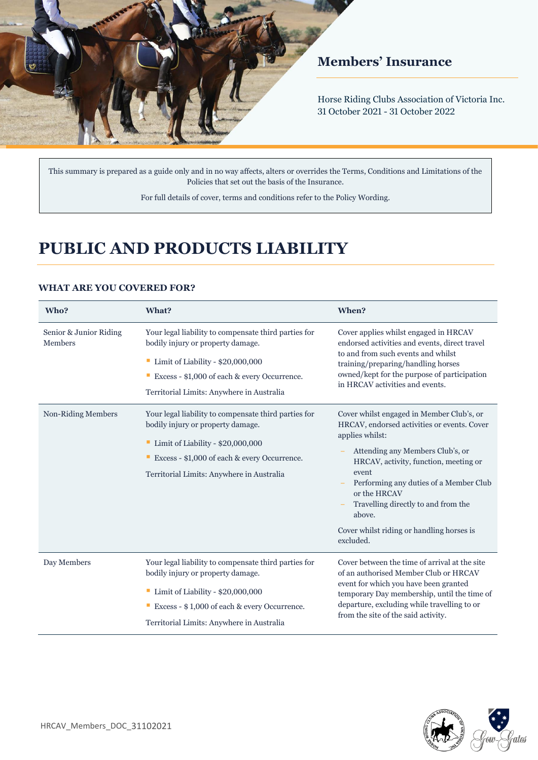

# **Members' Insurance**

Horse Riding Clubs Association of Victoria Inc. 31 October 2021 - 31 October 2022

This summary is prepared as a guide only and in no way affects, alters or overrides the Terms, Conditions and Limitations of the Policies that set out the basis of the Insurance.

For full details of cover, terms and conditions refer to the Policy Wording.

# **PUBLIC AND PRODUCTS LIABILITY**

| Who?                                     | What?                                                                                                                                                                                                                                      | When?                                                                                                                                                                                                                                                                                                                                                                  |
|------------------------------------------|--------------------------------------------------------------------------------------------------------------------------------------------------------------------------------------------------------------------------------------------|------------------------------------------------------------------------------------------------------------------------------------------------------------------------------------------------------------------------------------------------------------------------------------------------------------------------------------------------------------------------|
| Senior & Junior Riding<br><b>Members</b> | Your legal liability to compensate third parties for<br>bodily injury or property damage.<br>Limit of Liability - \$20,000,000<br>Excess - \$1,000 of each & every Occurrence.<br>Territorial Limits: Anywhere in Australia                | Cover applies whilst engaged in HRCAV<br>endorsed activities and events, direct travel<br>to and from such events and whilst<br>training/preparing/handling horses<br>owned/kept for the purpose of participation<br>in HRCAV activities and events.                                                                                                                   |
| Non-Riding Members                       | Your legal liability to compensate third parties for<br>bodily injury or property damage.<br>$\blacksquare$ Limit of Liability - \$20,000,000<br>Excess - \$1,000 of each & every Occurrence.<br>Territorial Limits: Anywhere in Australia | Cover whilst engaged in Member Club's, or<br>HRCAV, endorsed activities or events. Cover<br>applies whilst:<br>Attending any Members Club's, or<br>HRCAV, activity, function, meeting or<br>event<br>Performing any duties of a Member Club<br>or the HRCAV<br>Travelling directly to and from the<br>above.<br>Cover whilst riding or handling horses is<br>excluded. |
| Day Members                              | Your legal liability to compensate third parties for<br>bodily injury or property damage.<br>Limit of Liability - \$20,000,000<br>Excess - \$1,000 of each & every Occurrence.<br>Territorial Limits: Anywhere in Australia                | Cover between the time of arrival at the site<br>of an authorised Member Club or HRCAV<br>event for which you have been granted<br>temporary Day membership, until the time of<br>departure, excluding while travelling to or<br>from the site of the said activity.                                                                                                   |

## **WHAT ARE YOU COVERED FOR?**

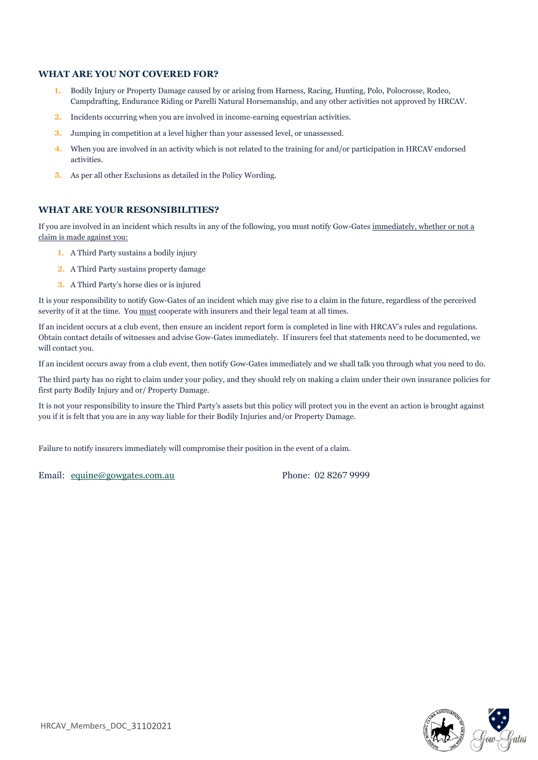#### **WHAT ARE YOU NOT COVERED FOR?**

- **1.** Bodily Injury or Property Damage caused by or arising from Harness, Racing, Hunting, Polo, Polocrosse, Rodeo, Campdrafting, Endurance Riding or Parelli Natural Horsemanship, and any other activities not approved by HRCAV.
- **2.** Incidents occurring when you are involved in income-earning equestrian activities.
- **3.** Jumping in competition at a level higher than your assessed level, or unassessed.
- **4.** When you are involved in an activity which is not related to the training for and/or participation in HRCAV endorsed activities.
- **5.** As per all other Exclusions as detailed in the Policy Wording.

#### **WHAT ARE YOUR RESONSIBILITIES?**

If you are involved in an incident which results in any of the following, you must notify Gow-Gates immediately, whether or not a claim is made against you:

- **1.** A Third Party sustains a bodily injury
- **2.** A Third Party sustains property damage
- **3.** A Third Party's horse dies or is injured

It is your responsibility to notify Gow-Gates of an incident which may give rise to a claim in the future, regardless of the perceived severity of it at the time. You must cooperate with insurers and their legal team at all times.

If an incident occurs at a club event, then ensure an incident report form is completed in line with HRCAV's rules and regulations. Obtain contact details of witnesses and advise Gow-Gates immediately. If insurers feel that statements need to be documented, we will contact you.

If an incident occurs away from a club event, then notify Gow-Gates immediately and we shall talk you through what you need to do.

The third party has no right to claim under your policy, and they should rely on making a claim under their own insurance policies for first party Bodily Injury and or/ Property Damage.

It is not your responsibility to insure the Third Party's assets but this policy will protect you in the event an action is brought against you if it is felt that you are in any way liable for their Bodily Injuries and/or Property Damage.

Failure to notify insurers immediately will compromise their position in the event of a claim.

Email: [equine@gowgates.com.au](mailto:equine@gowgates.com.au) Phone: 02 8267 9999

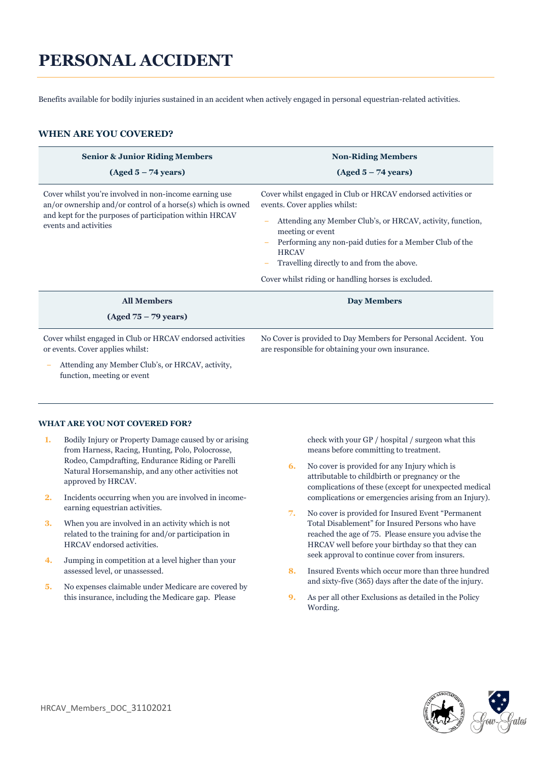# **PERSONAL ACCIDENT**

Benefits available for bodily injuries sustained in an accident when actively engaged in personal equestrian-related activities.

#### **WHEN ARE YOU COVERED?**

| <b>Senior &amp; Junior Riding Members</b>                                                                                                                                                                   | <b>Non-Riding Members</b>                                                                                                                                                                                                                                                                                                                                       |
|-------------------------------------------------------------------------------------------------------------------------------------------------------------------------------------------------------------|-----------------------------------------------------------------------------------------------------------------------------------------------------------------------------------------------------------------------------------------------------------------------------------------------------------------------------------------------------------------|
| $(Aged 5 - 74 years)$                                                                                                                                                                                       | $(Aged 5 - 74 years)$                                                                                                                                                                                                                                                                                                                                           |
| Cover whilst you're involved in non-income earning use<br>$an/or$ ownership and/or control of a horse(s) which is owned<br>and kept for the purposes of participation within HRCAV<br>events and activities | Cover whilst engaged in Club or HRCAV endorsed activities or<br>events. Cover applies whilst:<br>Attending any Member Club's, or HRCAV, activity, function,<br>meeting or event<br>Performing any non-paid duties for a Member Club of the<br><b>HRCAV</b><br>Travelling directly to and from the above.<br>Cover whilst riding or handling horses is excluded. |
| <b>All Members</b><br>$(Aged 75 - 79 years)$                                                                                                                                                                | Day Members                                                                                                                                                                                                                                                                                                                                                     |
| Cover whilst engaged in Club or HRCAV endorsed activities<br>or events. Cover applies whilst:                                                                                                               | No Cover is provided to Day Members for Personal Accident. You<br>are responsible for obtaining your own insurance.                                                                                                                                                                                                                                             |
| Attending any Member Club's, or HRCAV, activity,                                                                                                                                                            |                                                                                                                                                                                                                                                                                                                                                                 |

#### **WHAT ARE YOU NOT COVERED FOR?**

function, meeting or event

- **1.** Bodily Injury or Property Damage caused by or arising from Harness, Racing, Hunting, Polo, Polocrosse, Rodeo, Campdrafting, Endurance Riding or Parelli Natural Horsemanship, and any other activities not approved by HRCAV.
- **2.** Incidents occurring when you are involved in incomeearning equestrian activities.
- **3.** When you are involved in an activity which is not related to the training for and/or participation in HRCAV endorsed activities.
- **4.** Jumping in competition at a level higher than your assessed level, or unassessed.
- **5.** No expenses claimable under Medicare are covered by this insurance, including the Medicare gap.Please

check with your GP / hospital / surgeon what this means before committing to treatment.

- **6.** No cover is provided for any Injury which is attributable to childbirth or pregnancy or the complications of these (except for unexpected medical complications or emergencies arising from an Injury).
- **7.** No cover is provided for Insured Event "Permanent Total Disablement" for Insured Persons who have reached the age of 75. Please ensure you advise the HRCAV well before your birthday so that they can seek approval to continue cover from insurers.
- **8.** Insured Events which occur more than three hundred and sixty-five (365) days after the date of the injury.
- **9.** As per all other Exclusions as detailed in the Policy Wording.

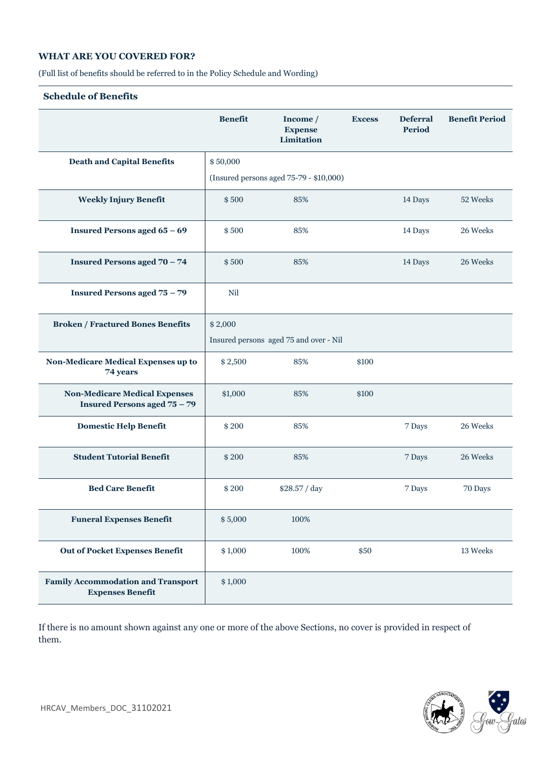# **WHAT ARE YOU COVERED FOR?**

(Full list of benefits should be referred to in the Policy Schedule and Wording)

## **Schedule of Benefits**

|                                                                             | <b>Benefit</b>                                    | Income /<br><b>Expense</b><br>Limitation | <b>Excess</b> | <b>Deferral</b><br><b>Period</b> | <b>Benefit Period</b> |
|-----------------------------------------------------------------------------|---------------------------------------------------|------------------------------------------|---------------|----------------------------------|-----------------------|
| <b>Death and Capital Benefits</b>                                           | \$50,000                                          |                                          |               |                                  |                       |
|                                                                             | (Insured persons aged 75-79 - \$10,000)           |                                          |               |                                  |                       |
| <b>Weekly Injury Benefit</b>                                                | \$500                                             | 85%                                      |               | 14 Days                          | 52 Weeks              |
| <b>Insured Persons aged 65 - 69</b>                                         | \$500                                             | 85%                                      |               | 14 Days                          | 26 Weeks              |
| <b>Insured Persons aged 70 - 74</b>                                         | \$500                                             | 85%                                      |               | 14 Days                          | 26 Weeks              |
| <b>Insured Persons aged 75 - 79</b>                                         | Nil                                               |                                          |               |                                  |                       |
| <b>Broken / Fractured Bones Benefits</b>                                    | \$2,000<br>Insured persons aged 75 and over - Nil |                                          |               |                                  |                       |
| Non-Medicare Medical Expenses up to<br>74 years                             | \$2,500                                           | 85%                                      | \$100         |                                  |                       |
| <b>Non-Medicare Medical Expenses</b><br><b>Insured Persons aged 75 - 79</b> | \$1,000                                           | 85%                                      | \$100         |                                  |                       |
| <b>Domestic Help Benefit</b>                                                | \$200                                             | 85%                                      |               | 7 Days                           | 26 Weeks              |
| <b>Student Tutorial Benefit</b>                                             | \$200                                             | 85%                                      |               | 7 Days                           | 26 Weeks              |
| <b>Bed Care Benefit</b>                                                     | \$200                                             | \$28.57 / day                            |               | 7 Days                           | 70 Days               |
| <b>Funeral Expenses Benefit</b>                                             | \$5,000                                           | 100%                                     |               |                                  |                       |
| <b>Out of Pocket Expenses Benefit</b>                                       | \$1,000                                           | 100%                                     | \$50          |                                  | 13 Weeks              |
| <b>Family Accommodation and Transport</b><br><b>Expenses Benefit</b>        | \$1,000                                           |                                          |               |                                  |                       |

If there is no amount shown against any one or more of the above Sections, no cover is provided in respect of them.

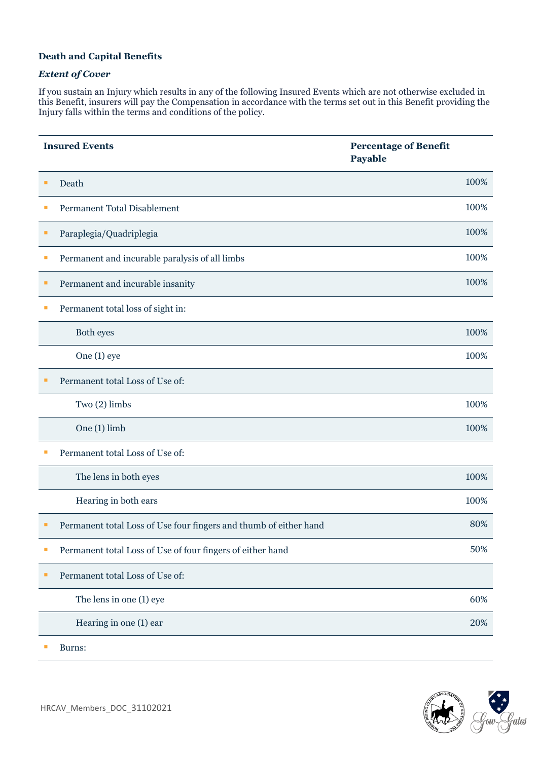## **Death and Capital Benefits**

#### *Extent of Cover*

If you sustain an Injury which results in any of the following Insured Events which are not otherwise excluded in this Benefit, insurers will pay the Compensation in accordance with the terms set out in this Benefit providing the Injury falls within the terms and conditions of the policy.

| <b>Insured Events</b>                                                  | <b>Percentage of Benefit</b><br>Payable |
|------------------------------------------------------------------------|-----------------------------------------|
| Death<br>п                                                             | 100%                                    |
| <b>Permanent Total Disablement</b>                                     | 100%                                    |
| Paraplegia/Quadriplegia                                                | 100%                                    |
| Permanent and incurable paralysis of all limbs<br>E                    | 100%                                    |
| Permanent and incurable insanity                                       | 100%                                    |
| Permanent total loss of sight in:                                      |                                         |
| Both eyes                                                              | 100%                                    |
| One (1) eye                                                            | 100%                                    |
| Permanent total Loss of Use of:                                        |                                         |
| Two (2) limbs                                                          | 100%                                    |
| One (1) limb                                                           | 100%                                    |
| Permanent total Loss of Use of:                                        |                                         |
| The lens in both eyes                                                  | 100%                                    |
| Hearing in both ears                                                   | 100%                                    |
| Permanent total Loss of Use four fingers and thumb of either hand<br>П | 80%                                     |
| Permanent total Loss of Use of four fingers of either hand<br>П        | 50%                                     |
| Permanent total Loss of Use of:<br>п                                   |                                         |
| The lens in one (1) eye                                                | 60%                                     |
| Hearing in one (1) ear                                                 | 20%                                     |
|                                                                        |                                         |

Burns: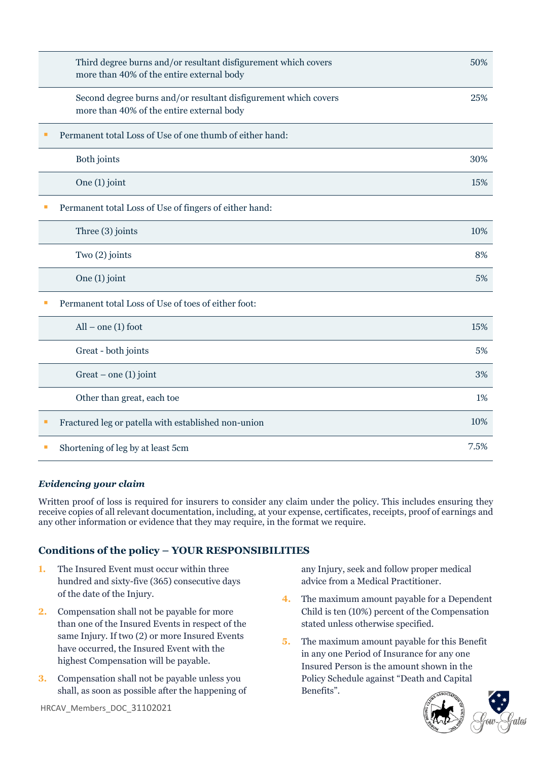| Third degree burns and/or resultant disfigurement which covers<br>more than 40% of the entire external body  |      |
|--------------------------------------------------------------------------------------------------------------|------|
| Second degree burns and/or resultant disfigurement which covers<br>more than 40% of the entire external body | 25%  |
| Permanent total Loss of Use of one thumb of either hand:                                                     |      |
| Both joints                                                                                                  | 30%  |
| One (1) joint                                                                                                | 15%  |
| Permanent total Loss of Use of fingers of either hand:                                                       |      |
| Three (3) joints                                                                                             | 10%  |
| Two (2) joints                                                                                               | 8%   |
| One (1) joint                                                                                                | 5%   |
| Permanent total Loss of Use of toes of either foot:                                                          |      |
| $All$ – one (1) foot                                                                                         | 15%  |
| Great - both joints                                                                                          | 5%   |
| Great – one $(1)$ joint                                                                                      | 3%   |
| Other than great, each toe                                                                                   | 1%   |
| Fractured leg or patella with established non-union                                                          | 10%  |
| Shortening of leg by at least 5cm                                                                            | 7.5% |

# *Evidencing your claim*

Written proof of loss is required for insurers to consider any claim under the policy. This includes ensuring they receive copies of all relevant documentation, including, at your expense, certificates, receipts, proof of earnings and any other information or evidence that they may require, in the format we require.

# **Conditions of the policy – YOUR RESPONSIBILITIES**

- **1.** The Insured Event must occur within three hundred and sixty-five (365) consecutive days of the date of the Injury.
- **2.** Compensation shall not be payable for more than one of the Insured Events in respect of the same Injury. If two (2) or more Insured Events have occurred, the Insured Event with the highest Compensation will be payable.
- **3.** Compensation shall not be payable unless you shall, as soon as possible after the happening of

HRCAV\_Members\_DOC\_31102021

any Injury, seek and follow proper medical advice from a Medical Practitioner.

- **4.** The maximum amount payable for a Dependent Child is ten (10%) percent of the Compensation stated unless otherwise specified.
- **5.** The maximum amount payable for this Benefit in any one Period of Insurance for any one Insured Person is the amount shown in the Policy Schedule against "Death and Capital Benefits".